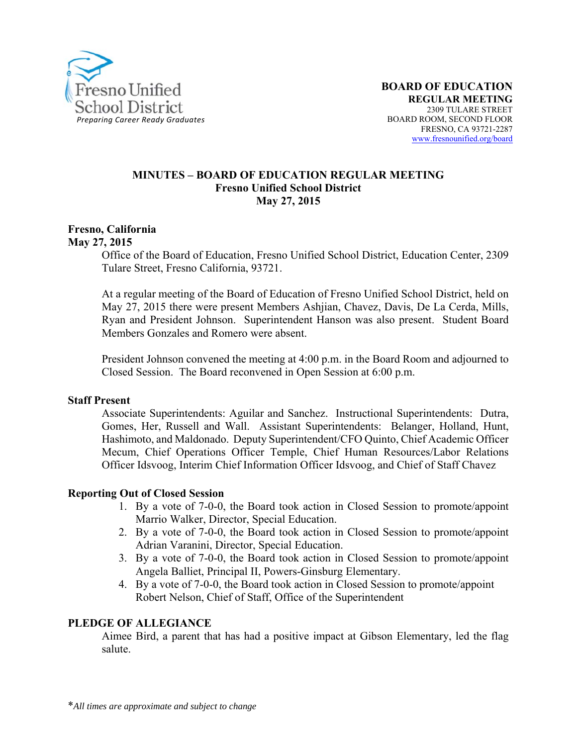

#### **MINUTES – BOARD OF EDUCATION REGULAR MEETING Fresno Unified School District May 27, 2015**

#### **Fresno, California May 27, 2015**

Office of the Board of Education, Fresno Unified School District, Education Center, 2309 Tulare Street, Fresno California, 93721.

At a regular meeting of the Board of Education of Fresno Unified School District, held on May 27, 2015 there were present Members Ashjian, Chavez, Davis, De La Cerda, Mills, Ryan and President Johnson. Superintendent Hanson was also present. Student Board Members Gonzales and Romero were absent.

President Johnson convened the meeting at 4:00 p.m. in the Board Room and adjourned to Closed Session. The Board reconvened in Open Session at 6:00 p.m.

#### **Staff Present**

Associate Superintendents: Aguilar and Sanchez. Instructional Superintendents: Dutra, Gomes, Her, Russell and Wall. Assistant Superintendents: Belanger, Holland, Hunt, Hashimoto, and Maldonado. Deputy Superintendent/CFO Quinto, Chief Academic Officer Mecum, Chief Operations Officer Temple, Chief Human Resources/Labor Relations Officer Idsvoog, Interim Chief Information Officer Idsvoog, and Chief of Staff Chavez

#### **Reporting Out of Closed Session**

- 1. By a vote of 7-0-0, the Board took action in Closed Session to promote/appoint Marrio Walker, Director, Special Education.
- 2. By a vote of 7-0-0, the Board took action in Closed Session to promote/appoint Adrian Varanini, Director, Special Education.
- 3. By a vote of 7-0-0, the Board took action in Closed Session to promote/appoint Angela Balliet, Principal II, Powers-Ginsburg Elementary.
- 4. By a vote of 7-0-0, the Board took action in Closed Session to promote/appoint Robert Nelson, Chief of Staff, Office of the Superintendent

#### **PLEDGE OF ALLEGIANCE**

Aimee Bird, a parent that has had a positive impact at Gibson Elementary, led the flag salute.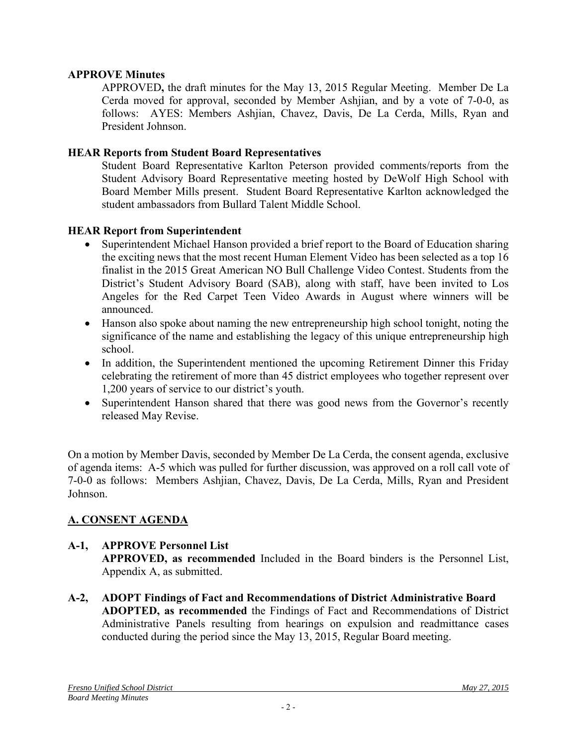### **APPROVE Minutes**

APPROVED**,** the draft minutes for the May 13, 2015 Regular Meeting. Member De La Cerda moved for approval, seconded by Member Ashjian, and by a vote of 7-0-0, as follows: AYES: Members Ashjian, Chavez, Davis, De La Cerda, Mills, Ryan and President Johnson.

#### **HEAR Reports from Student Board Representatives**

Student Board Representative Karlton Peterson provided comments/reports from the Student Advisory Board Representative meeting hosted by DeWolf High School with Board Member Mills present. Student Board Representative Karlton acknowledged the student ambassadors from Bullard Talent Middle School.

#### **HEAR Report from Superintendent**

- Superintendent Michael Hanson provided a brief report to the Board of Education sharing the exciting news that the most recent Human Element Video has been selected as a top 16 finalist in the 2015 Great American NO Bull Challenge Video Contest. Students from the District's Student Advisory Board (SAB), along with staff, have been invited to Los Angeles for the Red Carpet Teen Video Awards in August where winners will be announced.
- Hanson also spoke about naming the new entrepreneurship high school tonight, noting the significance of the name and establishing the legacy of this unique entrepreneurship high school.
- In addition, the Superintendent mentioned the upcoming Retirement Dinner this Friday celebrating the retirement of more than 45 district employees who together represent over 1,200 years of service to our district's youth.
- Superintendent Hanson shared that there was good news from the Governor's recently released May Revise.

On a motion by Member Davis, seconded by Member De La Cerda, the consent agenda, exclusive of agenda items: A-5 which was pulled for further discussion, was approved on a roll call vote of 7-0-0 as follows: Members Ashjian, Chavez, Davis, De La Cerda, Mills, Ryan and President Johnson.

# **A. CONSENT AGENDA**

# **A-1, APPROVE Personnel List**

**APPROVED, as recommended** Included in the Board binders is the Personnel List, Appendix A, as submitted.

**A-2, ADOPT Findings of Fact and Recommendations of District Administrative Board ADOPTED, as recommended** the Findings of Fact and Recommendations of District Administrative Panels resulting from hearings on expulsion and readmittance cases conducted during the period since the May 13, 2015, Regular Board meeting.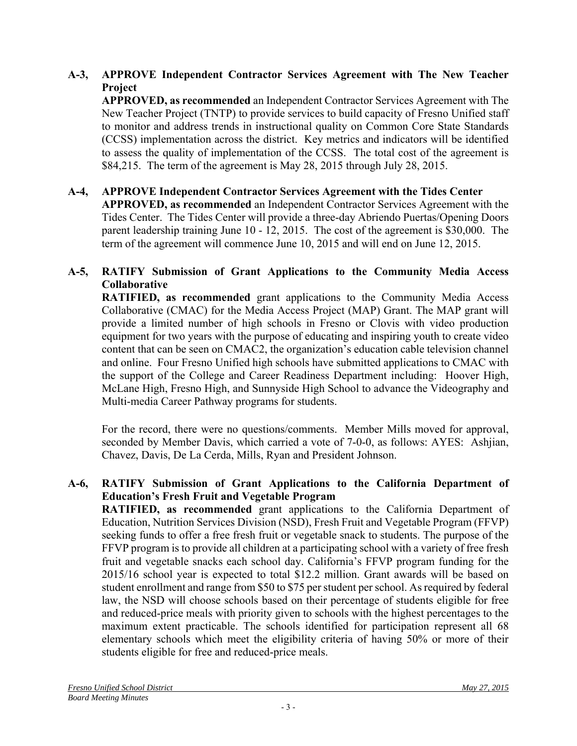# **A-3, APPROVE Independent Contractor Services Agreement with The New Teacher Project**

**APPROVED, as recommended** an Independent Contractor Services Agreement with The New Teacher Project (TNTP) to provide services to build capacity of Fresno Unified staff to monitor and address trends in instructional quality on Common Core State Standards (CCSS) implementation across the district. Key metrics and indicators will be identified to assess the quality of implementation of the CCSS. The total cost of the agreement is \$84,215. The term of the agreement is May 28, 2015 through July 28, 2015.

### **A-4, APPROVE Independent Contractor Services Agreement with the Tides Center**

**APPROVED, as recommended** an Independent Contractor Services Agreement with the Tides Center. The Tides Center will provide a three-day Abriendo Puertas/Opening Doors parent leadership training June 10 - 12, 2015. The cost of the agreement is \$30,000. The term of the agreement will commence June 10, 2015 and will end on June 12, 2015.

# **A-5, RATIFY Submission of Grant Applications to the Community Media Access Collaborative**

**RATIFIED, as recommended** grant applications to the Community Media Access Collaborative (CMAC) for the Media Access Project (MAP) Grant. The MAP grant will provide a limited number of high schools in Fresno or Clovis with video production equipment for two years with the purpose of educating and inspiring youth to create video content that can be seen on CMAC2, the organization's education cable television channel and online. Four Fresno Unified high schools have submitted applications to CMAC with the support of the College and Career Readiness Department including: Hoover High, McLane High, Fresno High, and Sunnyside High School to advance the Videography and Multi-media Career Pathway programs for students.

For the record, there were no questions/comments. Member Mills moved for approval, seconded by Member Davis, which carried a vote of 7-0-0, as follows: AYES: Ashjian, Chavez, Davis, De La Cerda, Mills, Ryan and President Johnson.

# **A-6, RATIFY Submission of Grant Applications to the California Department of Education's Fresh Fruit and Vegetable Program**

**RATIFIED, as recommended** grant applications to the California Department of Education, Nutrition Services Division (NSD), Fresh Fruit and Vegetable Program (FFVP) seeking funds to offer a free fresh fruit or vegetable snack to students. The purpose of the FFVP program is to provide all children at a participating school with a variety of free fresh fruit and vegetable snacks each school day. California's FFVP program funding for the 2015/16 school year is expected to total \$12.2 million. Grant awards will be based on student enrollment and range from \$50 to \$75 per student per school. As required by federal law, the NSD will choose schools based on their percentage of students eligible for free and reduced-price meals with priority given to schools with the highest percentages to the maximum extent practicable. The schools identified for participation represent all 68 elementary schools which meet the eligibility criteria of having 50% or more of their students eligible for free and reduced-price meals.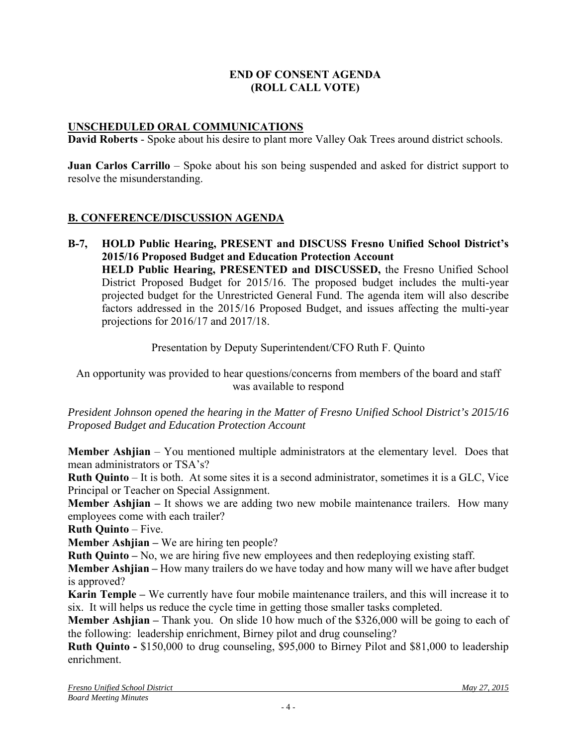### **END OF CONSENT AGENDA (ROLL CALL VOTE)**

### **UNSCHEDULED ORAL COMMUNICATIONS**

**David Roberts** - Spoke about his desire to plant more Valley Oak Trees around district schools.

**Juan Carlos Carrillo** – Spoke about his son being suspended and asked for district support to resolve the misunderstanding.

### **B. CONFERENCE/DISCUSSION AGENDA**

**B-7, HOLD Public Hearing, PRESENT and DISCUSS Fresno Unified School District's 2015/16 Proposed Budget and Education Protection Account HELD Public Hearing, PRESENTED and DISCUSSED,** the Fresno Unified School District Proposed Budget for 2015/16. The proposed budget includes the multi-year projected budget for the Unrestricted General Fund. The agenda item will also describe factors addressed in the 2015/16 Proposed Budget, and issues affecting the multi-year projections for 2016/17 and 2017/18.

Presentation by Deputy Superintendent/CFO Ruth F. Quinto

An opportunity was provided to hear questions/concerns from members of the board and staff was available to respond

*President Johnson opened the hearing in the Matter of Fresno Unified School District's 2015/16 Proposed Budget and Education Protection Account* 

**Member Ashjian** – You mentioned multiple administrators at the elementary level. Does that mean administrators or TSA's?

**Ruth Quinto** – It is both. At some sites it is a second administrator, sometimes it is a GLC, Vice Principal or Teacher on Special Assignment.

**Member Ashijan** – It shows we are adding two new mobile maintenance trailers. How many employees come with each trailer?

**Ruth Quinto** – Five.

**Member Ashjian –** We are hiring ten people?

**Ruth Quinto –** No, we are hiring five new employees and then redeploying existing staff.

**Member Ashjian –** How many trailers do we have today and how many will we have after budget is approved?

**Karin Temple –** We currently have four mobile maintenance trailers, and this will increase it to six. It will helps us reduce the cycle time in getting those smaller tasks completed.

**Member Ashjian** – Thank you. On slide 10 how much of the \$326,000 will be going to each of the following: leadership enrichment, Birney pilot and drug counseling?

**Ruth Quinto -** \$150,000 to drug counseling, \$95,000 to Birney Pilot and \$81,000 to leadership enrichment.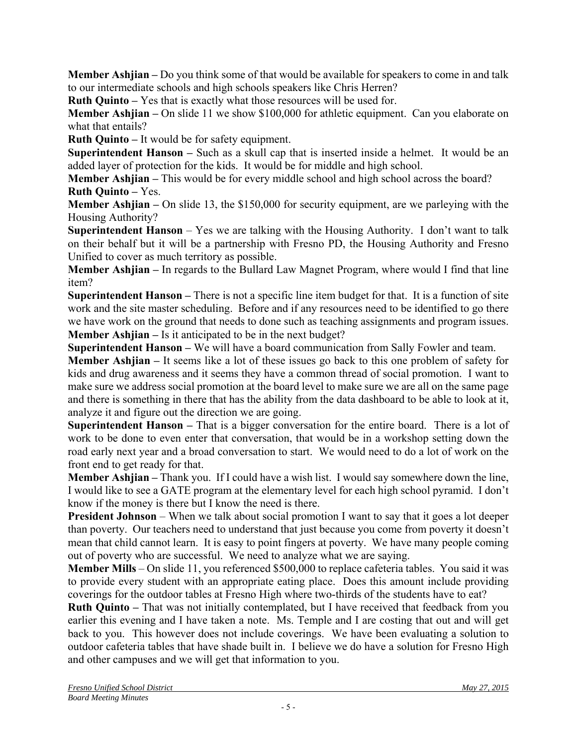**Member Ashjian –** Do you think some of that would be available for speakers to come in and talk to our intermediate schools and high schools speakers like Chris Herren?

**Ruth Quinto –** Yes that is exactly what those resources will be used for.

**Member Ashjian** – On slide 11 we show \$100,000 for athletic equipment. Can you elaborate on what that entails?

**Ruth Quinto –** It would be for safety equipment.

**Superintendent Hanson –** Such as a skull cap that is inserted inside a helmet. It would be an added layer of protection for the kids. It would be for middle and high school.

**Member Ashijan** – This would be for every middle school and high school across the board? **Ruth Quinto –** Yes.

**Member Ashjian –** On slide 13, the \$150,000 for security equipment, are we parleying with the Housing Authority?

**Superintendent Hanson** – Yes we are talking with the Housing Authority. I don't want to talk on their behalf but it will be a partnership with Fresno PD, the Housing Authority and Fresno Unified to cover as much territory as possible.

**Member Ashjian –** In regards to the Bullard Law Magnet Program, where would I find that line item?

**Superintendent Hanson –** There is not a specific line item budget for that. It is a function of site work and the site master scheduling. Before and if any resources need to be identified to go there we have work on the ground that needs to done such as teaching assignments and program issues. **Member Ashjian –** Is it anticipated to be in the next budget?

**Superintendent Hanson –** We will have a board communication from Sally Fowler and team.

**Member Ashjian –** It seems like a lot of these issues go back to this one problem of safety for kids and drug awareness and it seems they have a common thread of social promotion. I want to make sure we address social promotion at the board level to make sure we are all on the same page and there is something in there that has the ability from the data dashboard to be able to look at it, analyze it and figure out the direction we are going.

**Superintendent Hanson –** That is a bigger conversation for the entire board. There is a lot of work to be done to even enter that conversation, that would be in a workshop setting down the road early next year and a broad conversation to start. We would need to do a lot of work on the front end to get ready for that.

**Member Ashjian –** Thank you.If I could have a wish list. I would say somewhere down the line, I would like to see a GATE program at the elementary level for each high school pyramid. I don't know if the money is there but I know the need is there.

**President Johnson** – When we talk about social promotion I want to say that it goes a lot deeper than poverty. Our teachers need to understand that just because you come from poverty it doesn't mean that child cannot learn. It is easy to point fingers at poverty. We have many people coming out of poverty who are successful. We need to analyze what we are saying.

**Member Mills** – On slide 11, you referenced \$500,000 to replace cafeteria tables. You said it was to provide every student with an appropriate eating place. Does this amount include providing coverings for the outdoor tables at Fresno High where two-thirds of the students have to eat?

**Ruth Quinto –** That was not initially contemplated, but I have received that feedback from you earlier this evening and I have taken a note. Ms. Temple and I are costing that out and will get back to you. This however does not include coverings. We have been evaluating a solution to outdoor cafeteria tables that have shade built in. I believe we do have a solution for Fresno High and other campuses and we will get that information to you.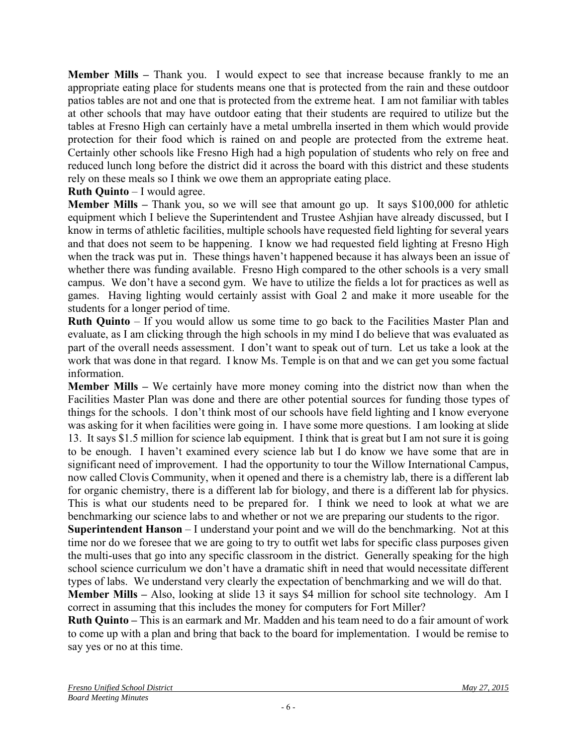**Member Mills** – Thank you. I would expect to see that increase because frankly to me an appropriate eating place for students means one that is protected from the rain and these outdoor patios tables are not and one that is protected from the extreme heat. I am not familiar with tables at other schools that may have outdoor eating that their students are required to utilize but the tables at Fresno High can certainly have a metal umbrella inserted in them which would provide protection for their food which is rained on and people are protected from the extreme heat. Certainly other schools like Fresno High had a high population of students who rely on free and reduced lunch long before the district did it across the board with this district and these students rely on these meals so I think we owe them an appropriate eating place.

### **Ruth Quinto** – I would agree.

**Member Mills –** Thank you, so we will see that amount go up. It says \$100,000 for athletic equipment which I believe the Superintendent and Trustee Ashjian have already discussed, but I know in terms of athletic facilities, multiple schools have requested field lighting for several years and that does not seem to be happening. I know we had requested field lighting at Fresno High when the track was put in. These things haven't happened because it has always been an issue of whether there was funding available. Fresno High compared to the other schools is a very small campus. We don't have a second gym. We have to utilize the fields a lot for practices as well as games. Having lighting would certainly assist with Goal 2 and make it more useable for the students for a longer period of time.

**Ruth Quinto** – If you would allow us some time to go back to the Facilities Master Plan and evaluate, as I am clicking through the high schools in my mind I do believe that was evaluated as part of the overall needs assessment. I don't want to speak out of turn. Let us take a look at the work that was done in that regard. I know Ms. Temple is on that and we can get you some factual information.

**Member Mills –** We certainly have more money coming into the district now than when the Facilities Master Plan was done and there are other potential sources for funding those types of things for the schools. I don't think most of our schools have field lighting and I know everyone was asking for it when facilities were going in. I have some more questions. I am looking at slide 13. It says \$1.5 million for science lab equipment. I think that is great but I am not sure it is going to be enough. I haven't examined every science lab but I do know we have some that are in significant need of improvement. I had the opportunity to tour the Willow International Campus, now called Clovis Community, when it opened and there is a chemistry lab, there is a different lab for organic chemistry, there is a different lab for biology, and there is a different lab for physics. This is what our students need to be prepared for. I think we need to look at what we are benchmarking our science labs to and whether or not we are preparing our students to the rigor.

**Superintendent Hanson** – I understand your point and we will do the benchmarking. Not at this time nor do we foresee that we are going to try to outfit wet labs for specific class purposes given the multi-uses that go into any specific classroom in the district. Generally speaking for the high school science curriculum we don't have a dramatic shift in need that would necessitate different types of labs. We understand very clearly the expectation of benchmarking and we will do that.

**Member Mills –** Also, looking at slide 13 it says \$4 million for school site technology. Am I correct in assuming that this includes the money for computers for Fort Miller?

**Ruth Quinto –** This is an earmark and Mr. Madden and his team need to do a fair amount of work to come up with a plan and bring that back to the board for implementation. I would be remise to say yes or no at this time.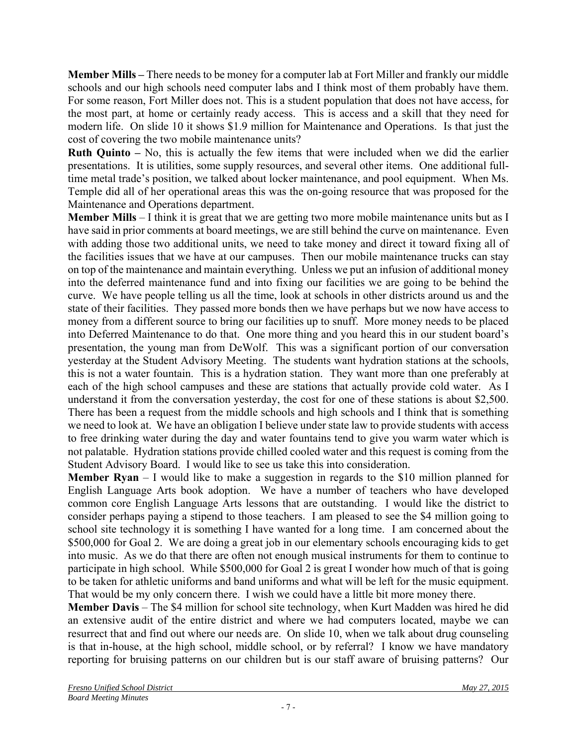**Member Mills –** There needs to be money for a computer lab at Fort Miller and frankly our middle schools and our high schools need computer labs and I think most of them probably have them. For some reason, Fort Miller does not. This is a student population that does not have access, for the most part, at home or certainly ready access. This is access and a skill that they need for modern life. On slide 10 it shows \$1.9 million for Maintenance and Operations. Is that just the cost of covering the two mobile maintenance units?

**Ruth Quinto –** No, this is actually the few items that were included when we did the earlier presentations. It is utilities, some supply resources, and several other items. One additional fulltime metal trade's position, we talked about locker maintenance, and pool equipment. When Ms. Temple did all of her operational areas this was the on-going resource that was proposed for the Maintenance and Operations department.

**Member Mills** – I think it is great that we are getting two more mobile maintenance units but as I have said in prior comments at board meetings, we are still behind the curve on maintenance. Even with adding those two additional units, we need to take money and direct it toward fixing all of the facilities issues that we have at our campuses. Then our mobile maintenance trucks can stay on top of the maintenance and maintain everything. Unless we put an infusion of additional money into the deferred maintenance fund and into fixing our facilities we are going to be behind the curve. We have people telling us all the time, look at schools in other districts around us and the state of their facilities. They passed more bonds then we have perhaps but we now have access to money from a different source to bring our facilities up to snuff. More money needs to be placed into Deferred Maintenance to do that. One more thing and you heard this in our student board's presentation, the young man from DeWolf. This was a significant portion of our conversation yesterday at the Student Advisory Meeting. The students want hydration stations at the schools, this is not a water fountain. This is a hydration station. They want more than one preferably at each of the high school campuses and these are stations that actually provide cold water. As I understand it from the conversation yesterday, the cost for one of these stations is about \$2,500. There has been a request from the middle schools and high schools and I think that is something we need to look at. We have an obligation I believe under state law to provide students with access to free drinking water during the day and water fountains tend to give you warm water which is not palatable. Hydration stations provide chilled cooled water and this request is coming from the Student Advisory Board. I would like to see us take this into consideration.

**Member Ryan** – I would like to make a suggestion in regards to the \$10 million planned for English Language Arts book adoption. We have a number of teachers who have developed common core English Language Arts lessons that are outstanding. I would like the district to consider perhaps paying a stipend to those teachers. I am pleased to see the \$4 million going to school site technology it is something I have wanted for a long time. I am concerned about the \$500,000 for Goal 2. We are doing a great job in our elementary schools encouraging kids to get into music. As we do that there are often not enough musical instruments for them to continue to participate in high school. While \$500,000 for Goal 2 is great I wonder how much of that is going to be taken for athletic uniforms and band uniforms and what will be left for the music equipment. That would be my only concern there. I wish we could have a little bit more money there.

**Member Davis** – The \$4 million for school site technology, when Kurt Madden was hired he did an extensive audit of the entire district and where we had computers located, maybe we can resurrect that and find out where our needs are. On slide 10, when we talk about drug counseling is that in-house, at the high school, middle school, or by referral? I know we have mandatory reporting for bruising patterns on our children but is our staff aware of bruising patterns? Our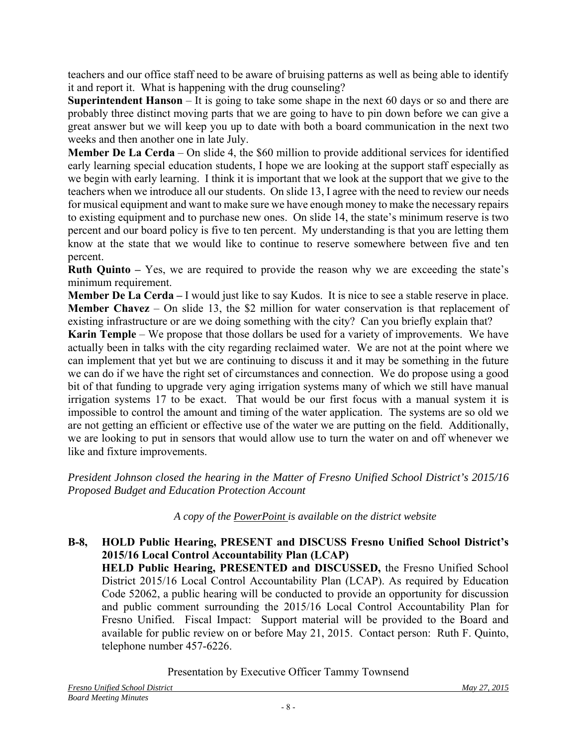teachers and our office staff need to be aware of bruising patterns as well as being able to identify it and report it. What is happening with the drug counseling?

**Superintendent Hanson** – It is going to take some shape in the next 60 days or so and there are probably three distinct moving parts that we are going to have to pin down before we can give a great answer but we will keep you up to date with both a board communication in the next two weeks and then another one in late July.

**Member De La Cerda** – On slide 4, the \$60 million to provide additional services for identified early learning special education students, I hope we are looking at the support staff especially as we begin with early learning. I think it is important that we look at the support that we give to the teachers when we introduce all our students. On slide 13, I agree with the need to review our needs for musical equipment and want to make sure we have enough money to make the necessary repairs to existing equipment and to purchase new ones. On slide 14, the state's minimum reserve is two percent and our board policy is five to ten percent. My understanding is that you are letting them know at the state that we would like to continue to reserve somewhere between five and ten percent.

**Ruth Quinto –** Yes, we are required to provide the reason why we are exceeding the state's minimum requirement.

**Member De La Cerda –** I would just like to say Kudos. It is nice to see a stable reserve in place. **Member Chavez** – On slide 13, the \$2 million for water conservation is that replacement of existing infrastructure or are we doing something with the city? Can you briefly explain that?

**Karin Temple** – We propose that those dollars be used for a variety of improvements. We have actually been in talks with the city regarding reclaimed water. We are not at the point where we can implement that yet but we are continuing to discuss it and it may be something in the future we can do if we have the right set of circumstances and connection. We do propose using a good bit of that funding to upgrade very aging irrigation systems many of which we still have manual irrigation systems 17 to be exact. That would be our first focus with a manual system it is impossible to control the amount and timing of the water application. The systems are so old we are not getting an efficient or effective use of the water we are putting on the field. Additionally, we are looking to put in sensors that would allow use to turn the water on and off whenever we like and fixture improvements.

*President Johnson closed the hearing in the Matter of Fresno Unified School District's 2015/16 Proposed Budget and Education Protection Account* 

*A copy of the PowerPoint is available on the district website*

**B-8, HOLD Public Hearing, PRESENT and DISCUSS Fresno Unified School District's 2015/16 Local Control Accountability Plan (LCAP) HELD Public Hearing, PRESENTED and DISCUSSED,** the Fresno Unified School District 2015/16 Local Control Accountability Plan (LCAP). As required by Education Code 52062, a public hearing will be conducted to provide an opportunity for discussion and public comment surrounding the 2015/16 Local Control Accountability Plan for Fresno Unified. Fiscal Impact: Support material will be provided to the Board and available for public review on or before May 21, 2015. Contact person: Ruth F. Quinto, telephone number 457-6226.

Presentation by Executive Officer Tammy Townsend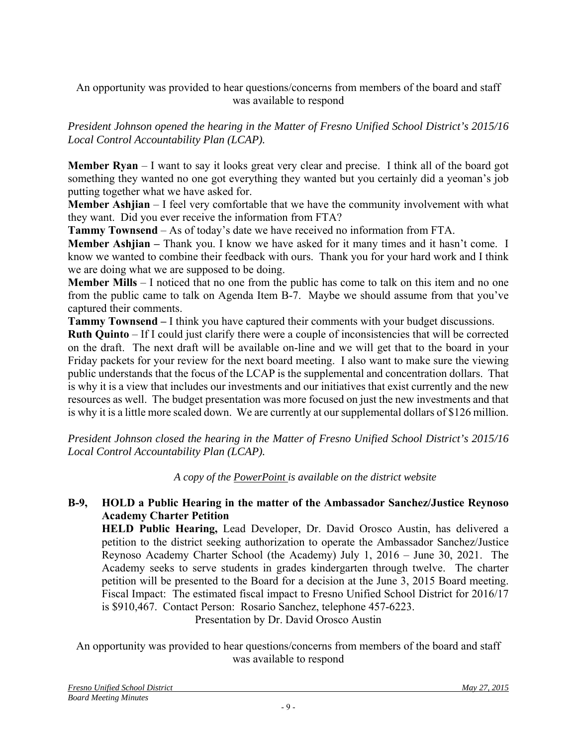An opportunity was provided to hear questions/concerns from members of the board and staff was available to respond

*President Johnson opened the hearing in the Matter of Fresno Unified School District's 2015/16 Local Control Accountability Plan (LCAP).*

**Member Ryan** – I want to say it looks great very clear and precise. I think all of the board got something they wanted no one got everything they wanted but you certainly did a yeoman's job putting together what we have asked for.

**Member Ashjian** – I feel very comfortable that we have the community involvement with what they want. Did you ever receive the information from FTA?

**Tammy Townsend** – As of today's date we have received no information from FTA.

**Member Ashjian** – Thank you. I know we have asked for it many times and it hasn't come. I know we wanted to combine their feedback with ours. Thank you for your hard work and I think we are doing what we are supposed to be doing.

**Member Mills** – I noticed that no one from the public has come to talk on this item and no one from the public came to talk on Agenda Item B-7. Maybe we should assume from that you've captured their comments.

**Tammy Townsend –** I think you have captured their comments with your budget discussions.

**Ruth Quinto** – If I could just clarify there were a couple of inconsistencies that will be corrected on the draft. The next draft will be available on-line and we will get that to the board in your Friday packets for your review for the next board meeting. I also want to make sure the viewing public understands that the focus of the LCAP is the supplemental and concentration dollars. That is why it is a view that includes our investments and our initiatives that exist currently and the new resources as well. The budget presentation was more focused on just the new investments and that is why it is a little more scaled down. We are currently at our supplemental dollars of \$126 million.

*President Johnson closed the hearing in the Matter of Fresno Unified School District's 2015/16 Local Control Accountability Plan (LCAP).*

*A copy of the PowerPoint is available on the district website*

# **B-9, HOLD a Public Hearing in the matter of the Ambassador Sanchez/Justice Reynoso Academy Charter Petition**

**HELD Public Hearing,** Lead Developer, Dr. David Orosco Austin, has delivered a petition to the district seeking authorization to operate the Ambassador Sanchez/Justice Reynoso Academy Charter School (the Academy) July 1, 2016 – June 30, 2021. The Academy seeks to serve students in grades kindergarten through twelve. The charter petition will be presented to the Board for a decision at the June 3, 2015 Board meeting. Fiscal Impact: The estimated fiscal impact to Fresno Unified School District for 2016/17 is \$910,467. Contact Person: Rosario Sanchez, telephone 457-6223.

Presentation by Dr. David Orosco Austin

An opportunity was provided to hear questions/concerns from members of the board and staff was available to respond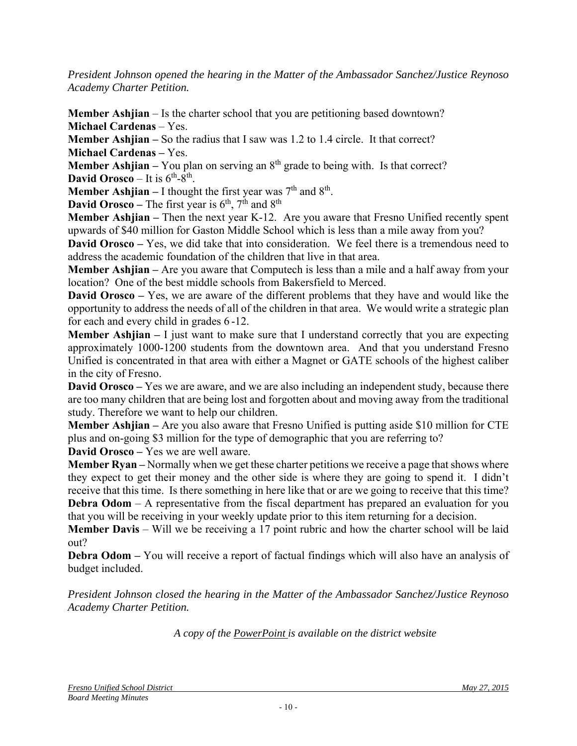*President Johnson opened the hearing in the Matter of the Ambassador Sanchez/Justice Reynoso Academy Charter Petition.*

**Member Ashjian** – Is the charter school that you are petitioning based downtown? **Michael Cardenas** – Yes.

**Member Ashjian –** So the radius that I saw was 1.2 to 1.4 circle. It that correct? **Michael Cardenas –** Yes.

**Member Ashjian** – You plan on serving an  $8<sup>th</sup>$  grade to being with. Is that correct? **David Orosco** – It is  $6<sup>th</sup>-8<sup>th</sup>$ .

**Member Ashjian** – I thought the first year was  $7<sup>th</sup>$  and  $8<sup>th</sup>$ .

**David Orosco** – The first year is  $6<sup>th</sup>$ ,  $7<sup>th</sup>$  and  $8<sup>th</sup>$ 

**Member Ashjian** – Then the next year K-12. Are you aware that Fresno Unified recently spent upwards of \$40 million for Gaston Middle School which is less than a mile away from you?

**David Orosco –** Yes, we did take that into consideration. We feel there is a tremendous need to address the academic foundation of the children that live in that area.

**Member Ashjian –** Are you aware that Computech is less than a mile and a half away from your location? One of the best middle schools from Bakersfield to Merced.

**David Orosco** – Yes, we are aware of the different problems that they have and would like the opportunity to address the needs of all of the children in that area. We would write a strategic plan for each and every child in grades 6 -12.

**Member Ashjian –** I just want to make sure that I understand correctly that you are expecting approximately 1000-1200 students from the downtown area. And that you understand Fresno Unified is concentrated in that area with either a Magnet or GATE schools of the highest caliber in the city of Fresno.

**David Orosco –** Yes we are aware, and we are also including an independent study, because there are too many children that are being lost and forgotten about and moving away from the traditional study. Therefore we want to help our children.

**Member Ashjian –** Are you also aware that Fresno Unified is putting aside \$10 million for CTE plus and on-going \$3 million for the type of demographic that you are referring to?

**David Orosco –** Yes we are well aware.

**Member Ryan –** Normally when we get these charter petitions we receive a page that shows where they expect to get their money and the other side is where they are going to spend it. I didn't receive that this time. Is there something in here like that or are we going to receive that this time? **Debra Odom** – A representative from the fiscal department has prepared an evaluation for you

that you will be receiving in your weekly update prior to this item returning for a decision.

**Member Davis** – Will we be receiving a 17 point rubric and how the charter school will be laid out?

**Debra Odom** – You will receive a report of factual findings which will also have an analysis of budget included.

*President Johnson closed the hearing in the Matter of the Ambassador Sanchez/Justice Reynoso Academy Charter Petition.*

*A copy of the PowerPoint is available on the district website*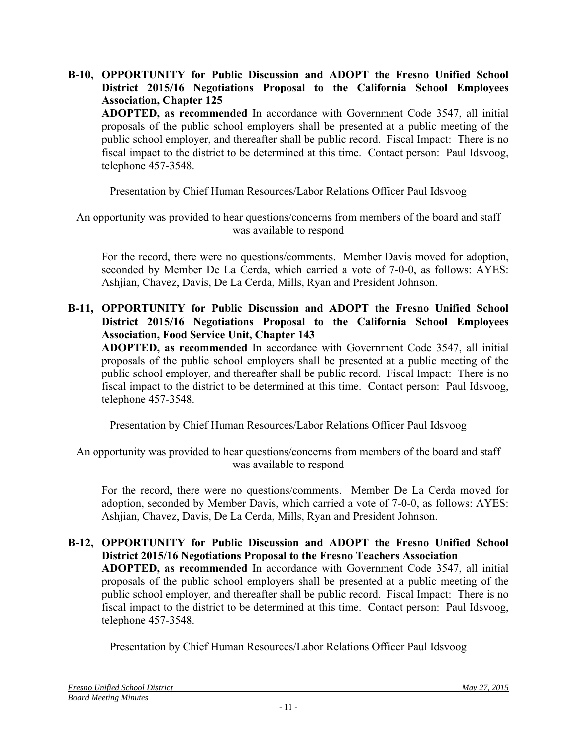**B-10, OPPORTUNITY for Public Discussion and ADOPT the Fresno Unified School District 2015/16 Negotiations Proposal to the California School Employees Association, Chapter 125 ADOPTED, as recommended** In accordance with Government Code 3547, all initial proposals of the public school employers shall be presented at a public meeting of the public school employer, and thereafter shall be public record. Fiscal Impact: There is no fiscal impact to the district to be determined at this time. Contact person: Paul Idsvoog, telephone 457-3548.

Presentation by Chief Human Resources/Labor Relations Officer Paul Idsvoog

An opportunity was provided to hear questions/concerns from members of the board and staff was available to respond

For the record, there were no questions/comments. Member Davis moved for adoption, seconded by Member De La Cerda, which carried a vote of 7-0-0, as follows: AYES: Ashjian, Chavez, Davis, De La Cerda, Mills, Ryan and President Johnson.

#### **B-11, OPPORTUNITY for Public Discussion and ADOPT the Fresno Unified School District 2015/16 Negotiations Proposal to the California School Employees Association, Food Service Unit, Chapter 143**

 **ADOPTED, as recommended** In accordance with Government Code 3547, all initial proposals of the public school employers shall be presented at a public meeting of the public school employer, and thereafter shall be public record. Fiscal Impact: There is no fiscal impact to the district to be determined at this time. Contact person: Paul Idsvoog, telephone 457-3548.

Presentation by Chief Human Resources/Labor Relations Officer Paul Idsvoog

An opportunity was provided to hear questions/concerns from members of the board and staff was available to respond

For the record, there were no questions/comments. Member De La Cerda moved for adoption, seconded by Member Davis, which carried a vote of 7-0-0, as follows: AYES: Ashjian, Chavez, Davis, De La Cerda, Mills, Ryan and President Johnson.

**B-12, OPPORTUNITY for Public Discussion and ADOPT the Fresno Unified School District 2015/16 Negotiations Proposal to the Fresno Teachers Association ADOPTED, as recommended** In accordance with Government Code 3547, all initial proposals of the public school employers shall be presented at a public meeting of the public school employer, and thereafter shall be public record. Fiscal Impact: There is no fiscal impact to the district to be determined at this time. Contact person: Paul Idsvoog, telephone 457-3548.

Presentation by Chief Human Resources/Labor Relations Officer Paul Idsvoog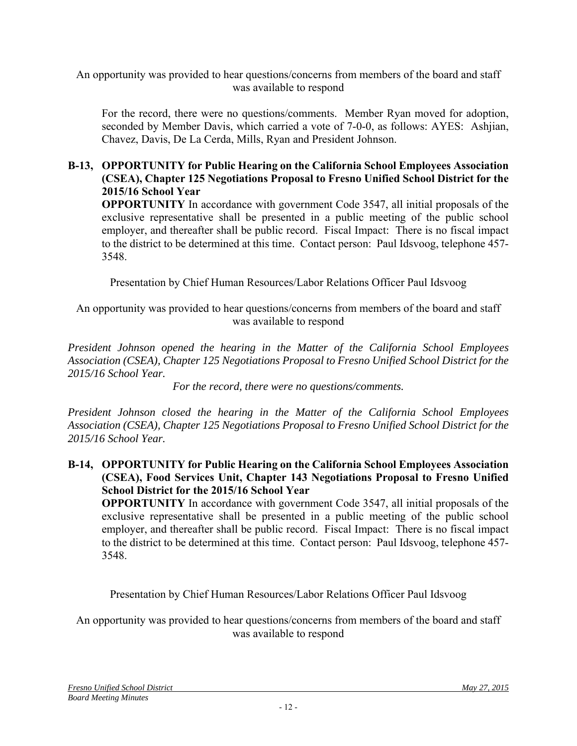An opportunity was provided to hear questions/concerns from members of the board and staff was available to respond

For the record, there were no questions/comments. Member Ryan moved for adoption, seconded by Member Davis, which carried a vote of 7-0-0, as follows: AYES: Ashjian, Chavez, Davis, De La Cerda, Mills, Ryan and President Johnson.

#### **B-13, OPPORTUNITY for Public Hearing on the California School Employees Association (CSEA), Chapter 125 Negotiations Proposal to Fresno Unified School District for the 2015/16 School Year**

**OPPORTUNITY** In accordance with government Code 3547, all initial proposals of the exclusive representative shall be presented in a public meeting of the public school employer, and thereafter shall be public record. Fiscal Impact: There is no fiscal impact to the district to be determined at this time. Contact person: Paul Idsvoog, telephone 457- 3548.

Presentation by Chief Human Resources/Labor Relations Officer Paul Idsvoog

An opportunity was provided to hear questions/concerns from members of the board and staff was available to respond

*President Johnson opened the hearing in the Matter of the California School Employees Association (CSEA), Chapter 125 Negotiations Proposal to Fresno Unified School District for the 2015/16 School Year.*

*For the record, there were no questions/comments.* 

*President Johnson closed the hearing in the Matter of the California School Employees Association (CSEA), Chapter 125 Negotiations Proposal to Fresno Unified School District for the 2015/16 School Year.*

**B-14, OPPORTUNITY for Public Hearing on the California School Employees Association (CSEA), Food Services Unit, Chapter 143 Negotiations Proposal to Fresno Unified School District for the 2015/16 School Year** 

**OPPORTUNITY** In accordance with government Code 3547, all initial proposals of the exclusive representative shall be presented in a public meeting of the public school employer, and thereafter shall be public record. Fiscal Impact: There is no fiscal impact to the district to be determined at this time. Contact person: Paul Idsvoog, telephone 457- 3548.

Presentation by Chief Human Resources/Labor Relations Officer Paul Idsvoog

An opportunity was provided to hear questions/concerns from members of the board and staff was available to respond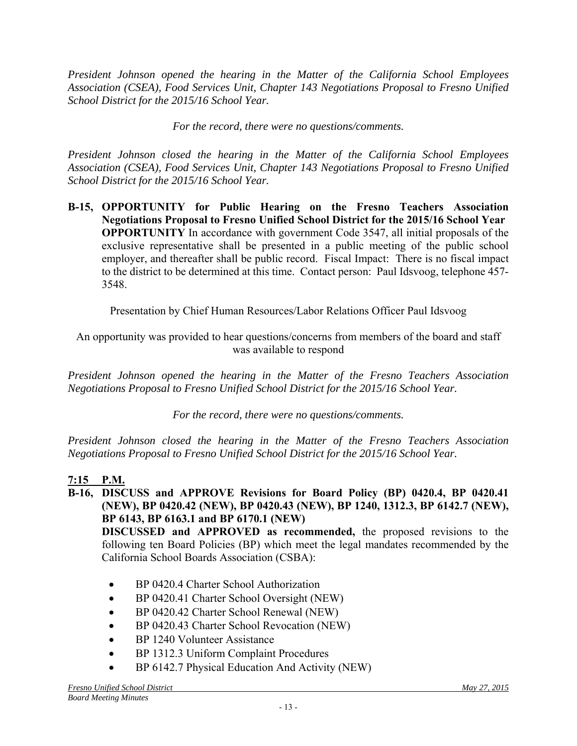*President Johnson opened the hearing in the Matter of the California School Employees Association (CSEA), Food Services Unit, Chapter 143 Negotiations Proposal to Fresno Unified School District for the 2015/16 School Year.* 

*For the record, there were no questions/comments.* 

*President Johnson closed the hearing in the Matter of the California School Employees Association (CSEA), Food Services Unit, Chapter 143 Negotiations Proposal to Fresno Unified School District for the 2015/16 School Year.* 

**B-15, OPPORTUNITY for Public Hearing on the Fresno Teachers Association Negotiations Proposal to Fresno Unified School District for the 2015/16 School Year OPPORTUNITY** In accordance with government Code 3547, all initial proposals of the exclusive representative shall be presented in a public meeting of the public school employer, and thereafter shall be public record. Fiscal Impact: There is no fiscal impact to the district to be determined at this time. Contact person: Paul Idsvoog, telephone 457- 3548.

Presentation by Chief Human Resources/Labor Relations Officer Paul Idsvoog

An opportunity was provided to hear questions/concerns from members of the board and staff was available to respond

*President Johnson opened the hearing in the Matter of the Fresno Teachers Association Negotiations Proposal to Fresno Unified School District for the 2015/16 School Year.* 

*For the record, there were no questions/comments.* 

*President Johnson closed the hearing in the Matter of the Fresno Teachers Association Negotiations Proposal to Fresno Unified School District for the 2015/16 School Year.* 

# **7:15 P.M.**

**B-16, DISCUSS and APPROVE Revisions for Board Policy (BP) 0420.4, BP 0420.41 (NEW), BP 0420.42 (NEW), BP 0420.43 (NEW), BP 1240, 1312.3, BP 6142.7 (NEW), BP 6143, BP 6163.1 and BP 6170.1 (NEW)** 

**DISCUSSED and APPROVED as recommended,** the proposed revisions to the following ten Board Policies (BP) which meet the legal mandates recommended by the California School Boards Association (CSBA):

- BP 0420.4 Charter School Authorization
- BP 0420.41 Charter School Oversight (NEW)
- BP 0420.42 Charter School Renewal (NEW)
- BP 0420.43 Charter School Revocation (NEW)
- BP 1240 Volunteer Assistance
- BP 1312.3 Uniform Complaint Procedures
- BP 6142.7 Physical Education And Activity (NEW)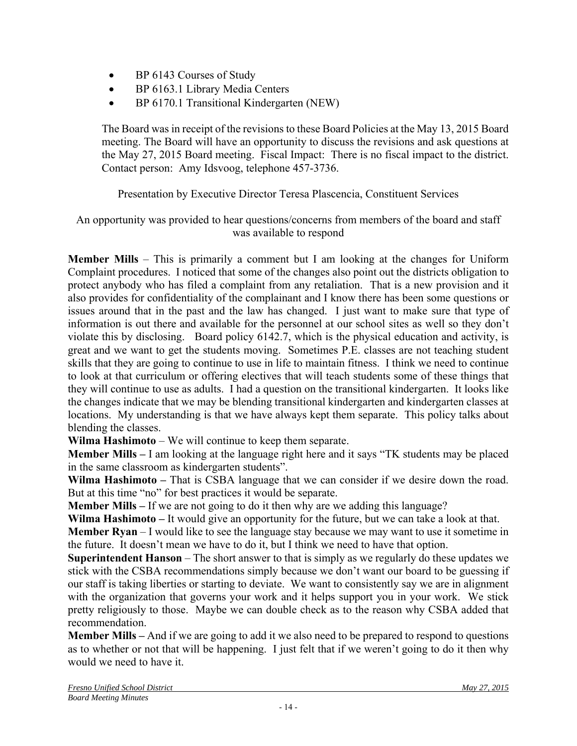- BP 6143 Courses of Study
- BP 6163.1 Library Media Centers
- BP 6170.1 Transitional Kindergarten (NEW)

The Board was in receipt of the revisions to these Board Policies at the May 13, 2015 Board meeting. The Board will have an opportunity to discuss the revisions and ask questions at the May 27, 2015 Board meeting. Fiscal Impact: There is no fiscal impact to the district. Contact person: Amy Idsvoog, telephone 457-3736.

Presentation by Executive Director Teresa Plascencia, Constituent Services

### An opportunity was provided to hear questions/concerns from members of the board and staff was available to respond

**Member Mills** – This is primarily a comment but I am looking at the changes for Uniform Complaint procedures. I noticed that some of the changes also point out the districts obligation to protect anybody who has filed a complaint from any retaliation. That is a new provision and it also provides for confidentiality of the complainant and I know there has been some questions or issues around that in the past and the law has changed. I just want to make sure that type of information is out there and available for the personnel at our school sites as well so they don't violate this by disclosing. Board policy 6142.7, which is the physical education and activity, is great and we want to get the students moving. Sometimes P.E. classes are not teaching student skills that they are going to continue to use in life to maintain fitness. I think we need to continue to look at that curriculum or offering electives that will teach students some of these things that they will continue to use as adults. I had a question on the transitional kindergarten. It looks like the changes indicate that we may be blending transitional kindergarten and kindergarten classes at locations. My understanding is that we have always kept them separate. This policy talks about blending the classes.

**Wilma Hashimoto** – We will continue to keep them separate.

**Member Mills –** I am looking at the language right here and it says "TK students may be placed in the same classroom as kindergarten students".

**Wilma Hashimoto –** That is CSBA language that we can consider if we desire down the road. But at this time "no" for best practices it would be separate.

**Member Mills –** If we are not going to do it then why are we adding this language?

**Wilma Hashimoto –** It would give an opportunity for the future, but we can take a look at that.

**Member Ryan** – I would like to see the language stay because we may want to use it sometime in the future. It doesn't mean we have to do it, but I think we need to have that option.

**Superintendent Hanson** – The short answer to that is simply as we regularly do these updates we stick with the CSBA recommendations simply because we don't want our board to be guessing if our staff is taking liberties or starting to deviate. We want to consistently say we are in alignment with the organization that governs your work and it helps support you in your work. We stick pretty religiously to those. Maybe we can double check as to the reason why CSBA added that recommendation.

**Member Mills –** And if we are going to add it we also need to be prepared to respond to questions as to whether or not that will be happening. I just felt that if we weren't going to do it then why would we need to have it.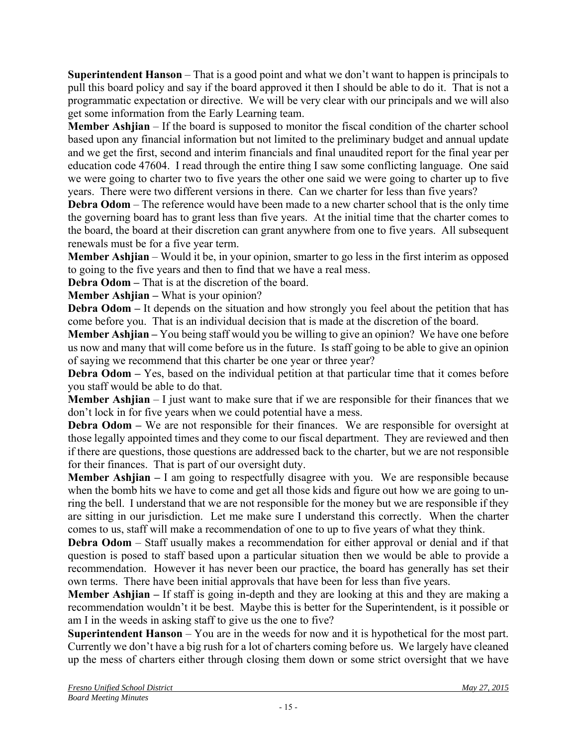**Superintendent Hanson** – That is a good point and what we don't want to happen is principals to pull this board policy and say if the board approved it then I should be able to do it. That is not a programmatic expectation or directive. We will be very clear with our principals and we will also get some information from the Early Learning team.

**Member Ashjian** – If the board is supposed to monitor the fiscal condition of the charter school based upon any financial information but not limited to the preliminary budget and annual update and we get the first, second and interim financials and final unaudited report for the final year per education code 47604. I read through the entire thing I saw some conflicting language. One said we were going to charter two to five years the other one said we were going to charter up to five years. There were two different versions in there. Can we charter for less than five years?

**Debra Odom** – The reference would have been made to a new charter school that is the only time the governing board has to grant less than five years. At the initial time that the charter comes to the board, the board at their discretion can grant anywhere from one to five years. All subsequent renewals must be for a five year term.

**Member Ashjian** – Would it be, in your opinion, smarter to go less in the first interim as opposed to going to the five years and then to find that we have a real mess.

**Debra Odom – That is at the discretion of the board.** 

**Member Ashjian – What is your opinion?** 

**Debra Odom** – It depends on the situation and how strongly you feel about the petition that has come before you. That is an individual decision that is made at the discretion of the board.

**Member Ashjian –** You being staff would you be willing to give an opinion? We have one before us now and many that will come before us in the future. Is staff going to be able to give an opinion of saying we recommend that this charter be one year or three year?

**Debra Odom –** Yes, based on the individual petition at that particular time that it comes before you staff would be able to do that.

**Member Ashjian** – I just want to make sure that if we are responsible for their finances that we don't lock in for five years when we could potential have a mess.

**Debra Odom –** We are not responsible for their finances. We are responsible for oversight at those legally appointed times and they come to our fiscal department. They are reviewed and then if there are questions, those questions are addressed back to the charter, but we are not responsible for their finances. That is part of our oversight duty.

**Member Ashjian –** I am going to respectfully disagree with you. We are responsible because when the bomb hits we have to come and get all those kids and figure out how we are going to unring the bell. I understand that we are not responsible for the money but we are responsible if they are sitting in our jurisdiction. Let me make sure I understand this correctly. When the charter comes to us, staff will make a recommendation of one to up to five years of what they think.

**Debra Odom** – Staff usually makes a recommendation for either approval or denial and if that question is posed to staff based upon a particular situation then we would be able to provide a recommendation. However it has never been our practice, the board has generally has set their own terms. There have been initial approvals that have been for less than five years.

**Member Ashjian –** If staff is going in-depth and they are looking at this and they are making a recommendation wouldn't it be best. Maybe this is better for the Superintendent, is it possible or am I in the weeds in asking staff to give us the one to five?

**Superintendent Hanson** – You are in the weeds for now and it is hypothetical for the most part. Currently we don't have a big rush for a lot of charters coming before us. We largely have cleaned up the mess of charters either through closing them down or some strict oversight that we have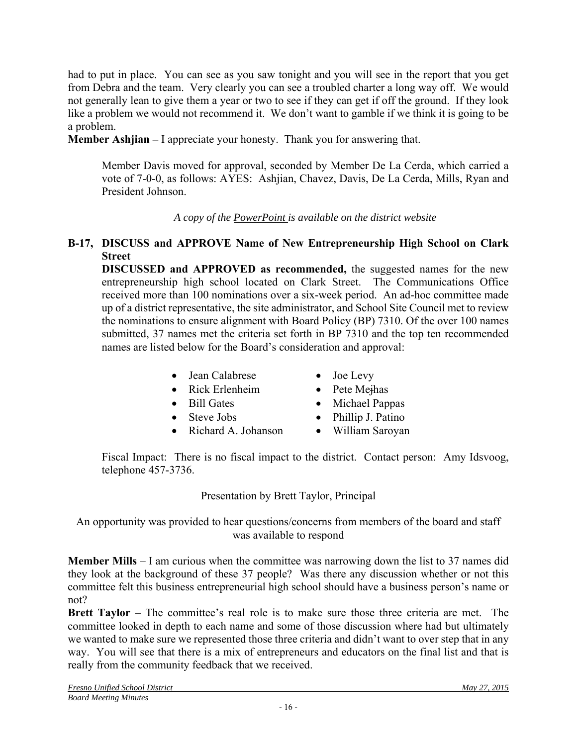had to put in place. You can see as you saw tonight and you will see in the report that you get from Debra and the team. Very clearly you can see a troubled charter a long way off. We would not generally lean to give them a year or two to see if they can get if off the ground. If they look like a problem we would not recommend it. We don't want to gamble if we think it is going to be a problem.

**Member Ashjian –** I appreciate your honesty. Thank you for answering that.

Member Davis moved for approval, seconded by Member De La Cerda, which carried a vote of 7-0-0, as follows: AYES: Ashjian, Chavez, Davis, De La Cerda, Mills, Ryan and President Johnson.

*A copy of the PowerPoint is available on the district website*

#### **B-17, DISCUSS and APPROVE Name of New Entrepreneurship High School on Clark Street**

**DISCUSSED and APPROVED as recommended,** the suggested names for the new entrepreneurship high school located on Clark Street. The Communications Office received more than 100 nominations over a six-week period. An ad-hoc committee made up of a district representative, the site administrator, and School Site Council met to review the nominations to ensure alignment with Board Policy (BP) 7310. Of the over 100 names submitted, 37 names met the criteria set forth in BP 7310 and the top ten recommended names are listed below for the Board's consideration and approval:

- Jean Calabrese Joe Levy
	-
- Rick Erlenheim Pete Mejhas
- 
- 
- Bill Gates Michael Pappas
- 
- Steve Jobs Phillip J. Patino
- Richard A. Johanson William Saroyan

Fiscal Impact: There is no fiscal impact to the district. Contact person: Amy Idsvoog, telephone 457-3736.

Presentation by Brett Taylor, Principal

An opportunity was provided to hear questions/concerns from members of the board and staff was available to respond

**Member Mills** – I am curious when the committee was narrowing down the list to 37 names did they look at the background of these 37 people? Was there any discussion whether or not this committee felt this business entrepreneurial high school should have a business person's name or not?

**Brett Taylor** – The committee's real role is to make sure those three criteria are met. The committee looked in depth to each name and some of those discussion where had but ultimately we wanted to make sure we represented those three criteria and didn't want to over step that in any way. You will see that there is a mix of entrepreneurs and educators on the final list and that is really from the community feedback that we received.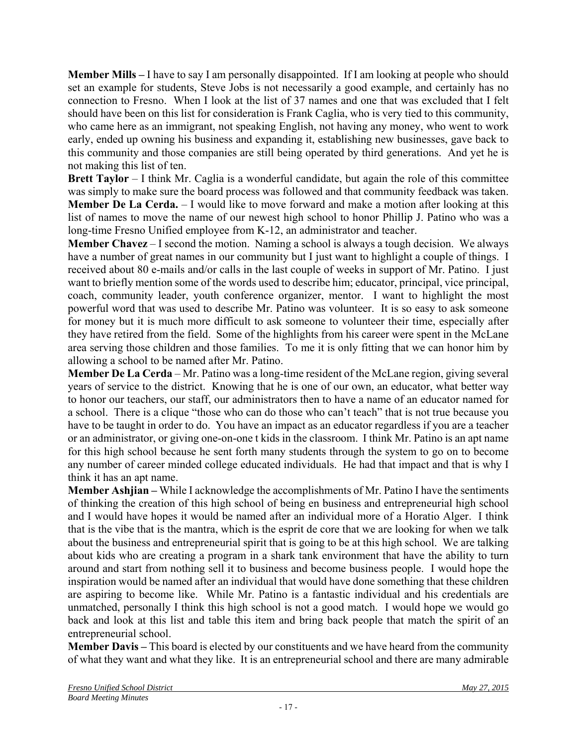**Member Mills –** I have to say I am personally disappointed. If I am looking at people who should set an example for students, Steve Jobs is not necessarily a good example, and certainly has no connection to Fresno. When I look at the list of 37 names and one that was excluded that I felt should have been on this list for consideration is Frank Caglia, who is very tied to this community, who came here as an immigrant, not speaking English, not having any money, who went to work early, ended up owning his business and expanding it, establishing new businesses, gave back to this community and those companies are still being operated by third generations. And yet he is not making this list of ten.

**Brett Taylor** – I think Mr. Caglia is a wonderful candidate, but again the role of this committee was simply to make sure the board process was followed and that community feedback was taken. **Member De La Cerda.** – I would like to move forward and make a motion after looking at this list of names to move the name of our newest high school to honor Phillip J. Patino who was a long-time Fresno Unified employee from K-12, an administrator and teacher.

**Member Chavez** – I second the motion. Naming a school is always a tough decision. We always have a number of great names in our community but I just want to highlight a couple of things. I received about 80 e-mails and/or calls in the last couple of weeks in support of Mr. Patino. I just want to briefly mention some of the words used to describe him; educator, principal, vice principal, coach, community leader, youth conference organizer, mentor. I want to highlight the most powerful word that was used to describe Mr. Patino was volunteer. It is so easy to ask someone for money but it is much more difficult to ask someone to volunteer their time, especially after they have retired from the field. Some of the highlights from his career were spent in the McLane area serving those children and those families. To me it is only fitting that we can honor him by allowing a school to be named after Mr. Patino.

**Member De La Cerda** – Mr. Patino was a long-time resident of the McLane region, giving several years of service to the district. Knowing that he is one of our own, an educator, what better way to honor our teachers, our staff, our administrators then to have a name of an educator named for a school. There is a clique "those who can do those who can't teach" that is not true because you have to be taught in order to do. You have an impact as an educator regardless if you are a teacher or an administrator, or giving one-on-one t kids in the classroom. I think Mr. Patino is an apt name for this high school because he sent forth many students through the system to go on to become any number of career minded college educated individuals. He had that impact and that is why I think it has an apt name.

**Member Ashjian –** While I acknowledge the accomplishments of Mr. Patino I have the sentiments of thinking the creation of this high school of being en business and entrepreneurial high school and I would have hopes it would be named after an individual more of a Horatio Alger. I think that is the vibe that is the mantra, which is the esprit de core that we are looking for when we talk about the business and entrepreneurial spirit that is going to be at this high school. We are talking about kids who are creating a program in a shark tank environment that have the ability to turn around and start from nothing sell it to business and become business people. I would hope the inspiration would be named after an individual that would have done something that these children are aspiring to become like. While Mr. Patino is a fantastic individual and his credentials are unmatched, personally I think this high school is not a good match. I would hope we would go back and look at this list and table this item and bring back people that match the spirit of an entrepreneurial school.

**Member Davis –** This board is elected by our constituents and we have heard from the community of what they want and what they like. It is an entrepreneurial school and there are many admirable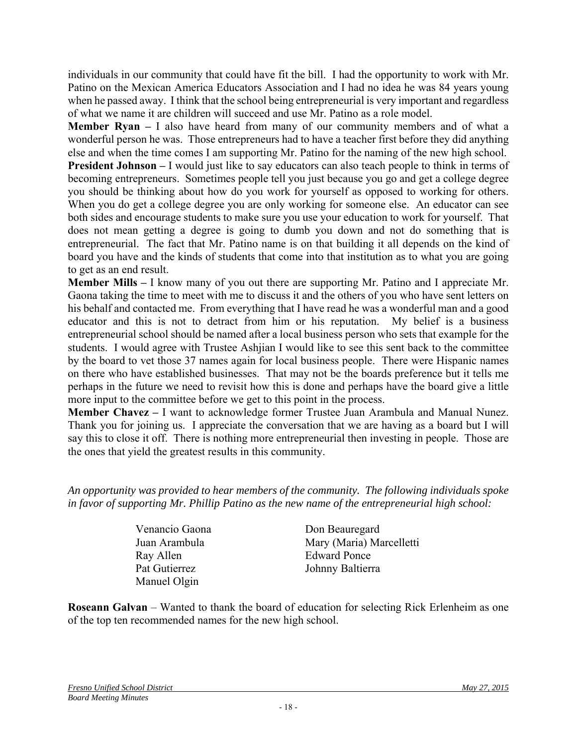individuals in our community that could have fit the bill. I had the opportunity to work with Mr. Patino on the Mexican America Educators Association and I had no idea he was 84 years young when he passed away. I think that the school being entrepreneurial is very important and regardless of what we name it are children will succeed and use Mr. Patino as a role model.

**Member Ryan –** I also have heard from many of our community members and of what a wonderful person he was. Those entrepreneurs had to have a teacher first before they did anything else and when the time comes I am supporting Mr. Patino for the naming of the new high school. **President Johnson** – I would just like to say educators can also teach people to think in terms of

becoming entrepreneurs. Sometimes people tell you just because you go and get a college degree you should be thinking about how do you work for yourself as opposed to working for others. When you do get a college degree you are only working for someone else. An educator can see both sides and encourage students to make sure you use your education to work for yourself. That does not mean getting a degree is going to dumb you down and not do something that is entrepreneurial. The fact that Mr. Patino name is on that building it all depends on the kind of board you have and the kinds of students that come into that institution as to what you are going to get as an end result.

**Member Mills –** I know many of you out there are supporting Mr. Patino and I appreciate Mr. Gaona taking the time to meet with me to discuss it and the others of you who have sent letters on his behalf and contacted me. From everything that I have read he was a wonderful man and a good educator and this is not to detract from him or his reputation. My belief is a business entrepreneurial school should be named after a local business person who sets that example for the students. I would agree with Trustee Ashjian I would like to see this sent back to the committee by the board to vet those 37 names again for local business people. There were Hispanic names on there who have established businesses. That may not be the boards preference but it tells me perhaps in the future we need to revisit how this is done and perhaps have the board give a little more input to the committee before we get to this point in the process.

**Member Chavez –** I want to acknowledge former Trustee Juan Arambula and Manual Nunez. Thank you for joining us. I appreciate the conversation that we are having as a board but I will say this to close it off. There is nothing more entrepreneurial then investing in people. Those are the ones that yield the greatest results in this community.

*An opportunity was provided to hear members of the community. The following individuals spoke in favor of supporting Mr. Phillip Patino as the new name of the entrepreneurial high school:* 

> Venancio Gaona Don Beauregard Ray Allen Edward Ponce Pat Gutierrez Johnny Baltierra Manuel Olgin

Juan Arambula Mary (Maria) Marcelletti

**Roseann Galvan** – Wanted to thank the board of education for selecting Rick Erlenheim as one of the top ten recommended names for the new high school.